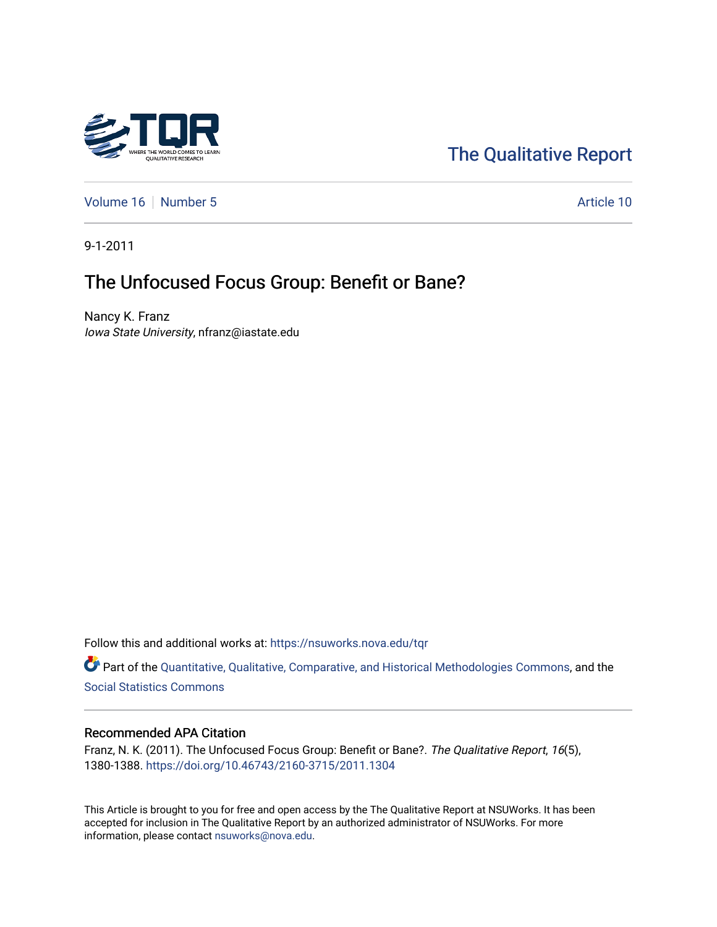

# [The Qualitative Report](https://nsuworks.nova.edu/tqr)

[Volume 16](https://nsuworks.nova.edu/tqr/vol16) [Number 5](https://nsuworks.nova.edu/tqr/vol16/iss5) Article 10

9-1-2011

# The Unfocused Focus Group: Benefit or Bane?

Nancy K. Franz Iowa State University, nfranz@iastate.edu

Follow this and additional works at: [https://nsuworks.nova.edu/tqr](https://nsuworks.nova.edu/tqr?utm_source=nsuworks.nova.edu%2Ftqr%2Fvol16%2Fiss5%2F10&utm_medium=PDF&utm_campaign=PDFCoverPages) 

Part of the [Quantitative, Qualitative, Comparative, and Historical Methodologies Commons,](http://network.bepress.com/hgg/discipline/423?utm_source=nsuworks.nova.edu%2Ftqr%2Fvol16%2Fiss5%2F10&utm_medium=PDF&utm_campaign=PDFCoverPages) and the [Social Statistics Commons](http://network.bepress.com/hgg/discipline/1275?utm_source=nsuworks.nova.edu%2Ftqr%2Fvol16%2Fiss5%2F10&utm_medium=PDF&utm_campaign=PDFCoverPages) 

#### Recommended APA Citation

Franz, N. K. (2011). The Unfocused Focus Group: Benefit or Bane?. The Qualitative Report, 16(5), 1380-1388. <https://doi.org/10.46743/2160-3715/2011.1304>

This Article is brought to you for free and open access by the The Qualitative Report at NSUWorks. It has been accepted for inclusion in The Qualitative Report by an authorized administrator of NSUWorks. For more information, please contact [nsuworks@nova.edu.](mailto:nsuworks@nova.edu)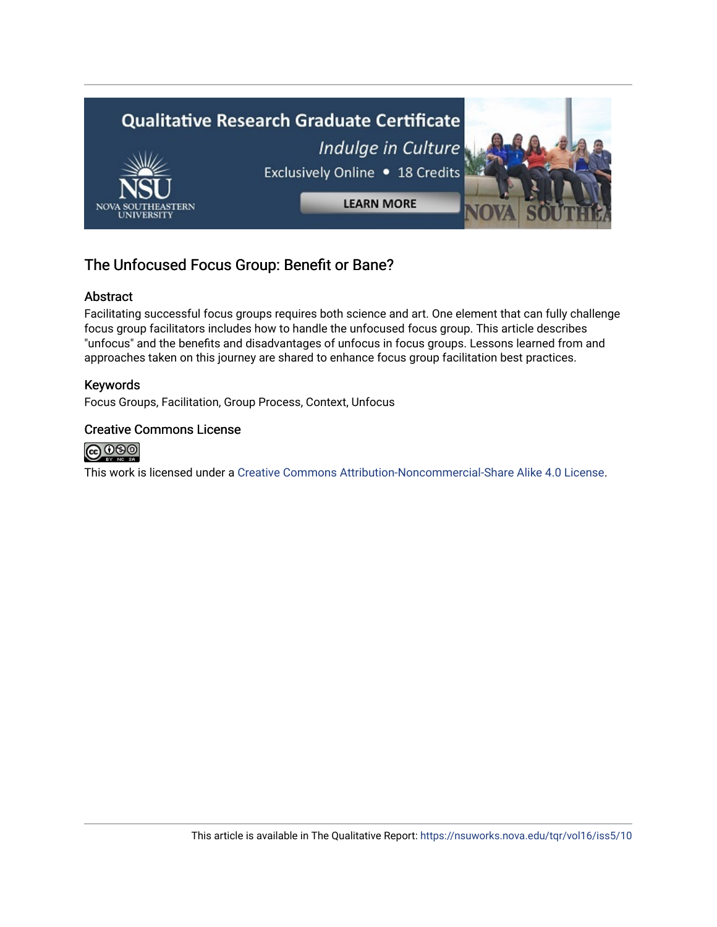

# The Unfocused Focus Group: Benefit or Bane?

# Abstract

Facilitating successful focus groups requires both science and art. One element that can fully challenge focus group facilitators includes how to handle the unfocused focus group. This article describes "unfocus" and the benefits and disadvantages of unfocus in focus groups. Lessons learned from and approaches taken on this journey are shared to enhance focus group facilitation best practices.

# Keywords

Focus Groups, Facilitation, Group Process, Context, Unfocus

## Creative Commons License



This work is licensed under a [Creative Commons Attribution-Noncommercial-Share Alike 4.0 License](https://creativecommons.org/licenses/by-nc-sa/4.0/).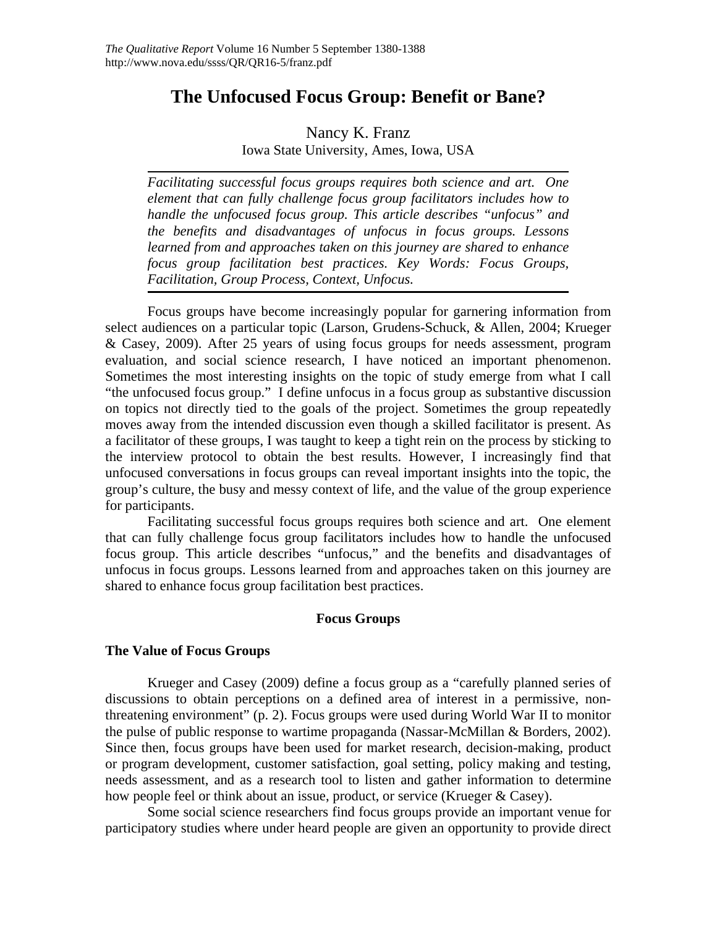# **The Unfocused Focus Group: Benefit or Bane?**

# Nancy K. Franz

Iowa State University, Ames, Iowa, USA

*Facilitating successful focus groups requires both science and art. One element that can fully challenge focus group facilitators includes how to handle the unfocused focus group. This article describes "unfocus" and the benefits and disadvantages of unfocus in focus groups. Lessons learned from and approaches taken on this journey are shared to enhance focus group facilitation best practices. Key Words: Focus Groups, Facilitation, Group Process, Context, Unfocus.* 

Focus groups have become increasingly popular for garnering information from select audiences on a particular topic (Larson, Grudens-Schuck, & Allen, 2004; Krueger & Casey, 2009). After 25 years of using focus groups for needs assessment, program evaluation, and social science research, I have noticed an important phenomenon. Sometimes the most interesting insights on the topic of study emerge from what I call "the unfocused focus group." I define unfocus in a focus group as substantive discussion on topics not directly tied to the goals of the project. Sometimes the group repeatedly moves away from the intended discussion even though a skilled facilitator is present. As a facilitator of these groups, I was taught to keep a tight rein on the process by sticking to the interview protocol to obtain the best results. However, I increasingly find that unfocused conversations in focus groups can reveal important insights into the topic, the group's culture, the busy and messy context of life, and the value of the group experience for participants.

 Facilitating successful focus groups requires both science and art. One element that can fully challenge focus group facilitators includes how to handle the unfocused focus group. This article describes "unfocus," and the benefits and disadvantages of unfocus in focus groups. Lessons learned from and approaches taken on this journey are shared to enhance focus group facilitation best practices.

#### **Focus Groups**

## **The Value of Focus Groups**

Krueger and Casey (2009) define a focus group as a "carefully planned series of discussions to obtain perceptions on a defined area of interest in a permissive, nonthreatening environment" (p. 2). Focus groups were used during World War II to monitor the pulse of public response to wartime propaganda (Nassar-McMillan & Borders, 2002). Since then, focus groups have been used for market research, decision-making, product or program development, customer satisfaction, goal setting, policy making and testing, needs assessment, and as a research tool to listen and gather information to determine how people feel or think about an issue, product, or service (Krueger & Casey).

 Some social science researchers find focus groups provide an important venue for participatory studies where under heard people are given an opportunity to provide direct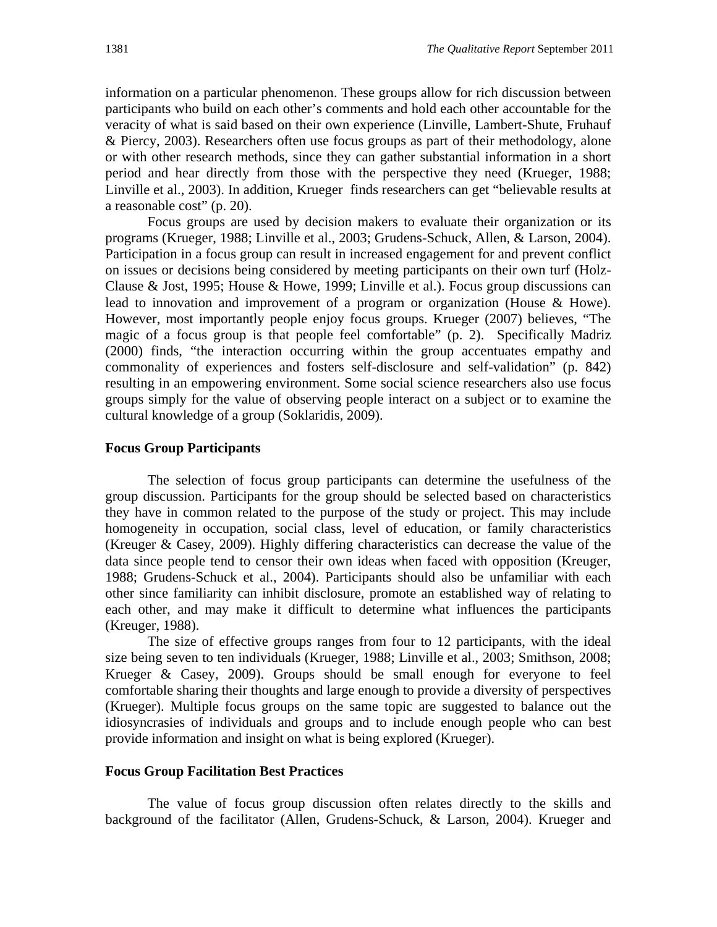information on a particular phenomenon. These groups allow for rich discussion between participants who build on each other's comments and hold each other accountable for the veracity of what is said based on their own experience (Linville, Lambert-Shute, Fruhauf & Piercy, 2003). Researchers often use focus groups as part of their methodology, alone or with other research methods, since they can gather substantial information in a short period and hear directly from those with the perspective they need (Krueger, 1988; Linville et al., 2003). In addition, Krueger finds researchers can get "believable results at a reasonable cost" (p. 20).

 Focus groups are used by decision makers to evaluate their organization or its programs (Krueger, 1988; Linville et al., 2003; Grudens-Schuck, Allen, & Larson, 2004). Participation in a focus group can result in increased engagement for and prevent conflict on issues or decisions being considered by meeting participants on their own turf (Holz-Clause & Jost, 1995; House & Howe, 1999; Linville et al.). Focus group discussions can lead to innovation and improvement of a program or organization (House & Howe). However, most importantly people enjoy focus groups. Krueger (2007) believes, "The magic of a focus group is that people feel comfortable" (p. 2). Specifically Madriz (2000) finds, "the interaction occurring within the group accentuates empathy and commonality of experiences and fosters self-disclosure and self-validation" (p. 842) resulting in an empowering environment. Some social science researchers also use focus groups simply for the value of observing people interact on a subject or to examine the cultural knowledge of a group (Soklaridis, 2009).

#### **Focus Group Participants**

The selection of focus group participants can determine the usefulness of the group discussion. Participants for the group should be selected based on characteristics they have in common related to the purpose of the study or project. This may include homogeneity in occupation, social class, level of education, or family characteristics (Kreuger & Casey, 2009). Highly differing characteristics can decrease the value of the data since people tend to censor their own ideas when faced with opposition (Kreuger, 1988; Grudens-Schuck et al., 2004). Participants should also be unfamiliar with each other since familiarity can inhibit disclosure, promote an established way of relating to each other, and may make it difficult to determine what influences the participants (Kreuger, 1988).

 The size of effective groups ranges from four to 12 participants, with the ideal size being seven to ten individuals (Krueger, 1988; Linville et al., 2003; Smithson, 2008; Krueger & Casey, 2009). Groups should be small enough for everyone to feel comfortable sharing their thoughts and large enough to provide a diversity of perspectives (Krueger). Multiple focus groups on the same topic are suggested to balance out the idiosyncrasies of individuals and groups and to include enough people who can best provide information and insight on what is being explored (Krueger).

#### **Focus Group Facilitation Best Practices**

The value of focus group discussion often relates directly to the skills and background of the facilitator (Allen, Grudens-Schuck, & Larson, 2004). Krueger and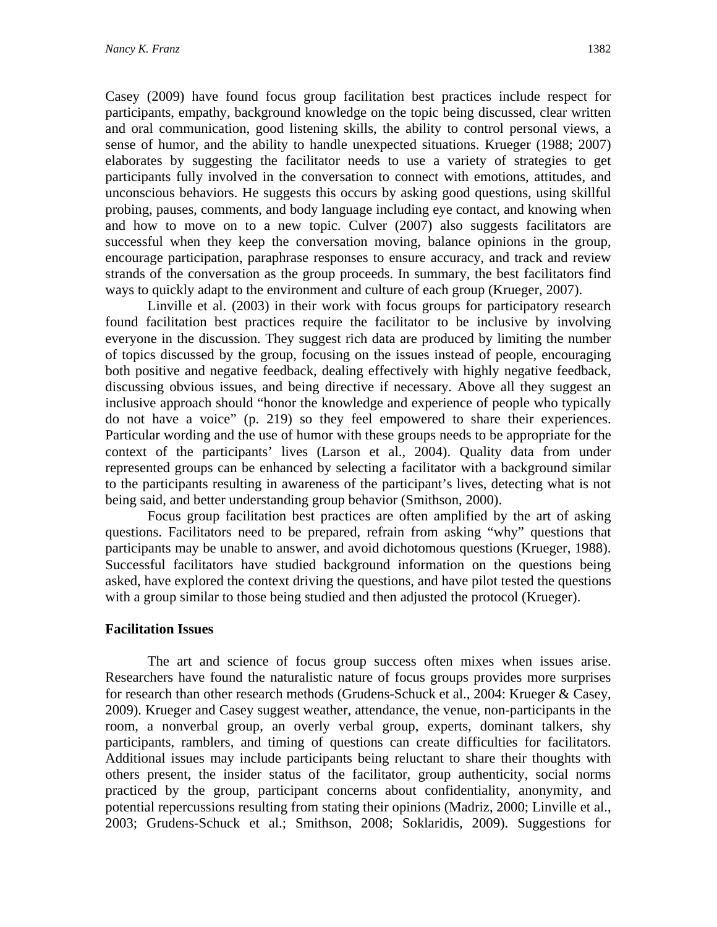Casey (2009) have found focus group facilitation best practices include respect for participants, empathy, background knowledge on the topic being discussed, clear written and oral communication, good listening skills, the ability to control personal views, a sense of humor, and the ability to handle unexpected situations. Krueger (1988; 2007) elaborates by suggesting the facilitator needs to use a variety of strategies to get participants fully involved in the conversation to connect with emotions, attitudes, and unconscious behaviors. He suggests this occurs by asking good questions, using skillful probing, pauses, comments, and body language including eye contact, and knowing when and how to move on to a new topic. Culver (2007) also suggests facilitators are successful when they keep the conversation moving, balance opinions in the group, encourage participation, paraphrase responses to ensure accuracy, and track and review strands of the conversation as the group proceeds. In summary, the best facilitators find ways to quickly adapt to the environment and culture of each group (Krueger, 2007).

 Linville et al. (2003) in their work with focus groups for participatory research found facilitation best practices require the facilitator to be inclusive by involving everyone in the discussion. They suggest rich data are produced by limiting the number of topics discussed by the group, focusing on the issues instead of people, encouraging both positive and negative feedback, dealing effectively with highly negative feedback, discussing obvious issues, and being directive if necessary. Above all they suggest an inclusive approach should "honor the knowledge and experience of people who typically do not have a voice" (p. 219) so they feel empowered to share their experiences. Particular wording and the use of humor with these groups needs to be appropriate for the context of the participants' lives (Larson et al., 2004). Quality data from under represented groups can be enhanced by selecting a facilitator with a background similar to the participants resulting in awareness of the participant's lives, detecting what is not being said, and better understanding group behavior (Smithson, 2000).

 Focus group facilitation best practices are often amplified by the art of asking questions. Facilitators need to be prepared, refrain from asking "why" questions that participants may be unable to answer, and avoid dichotomous questions (Krueger, 1988). Successful facilitators have studied background information on the questions being asked, have explored the context driving the questions, and have pilot tested the questions with a group similar to those being studied and then adjusted the protocol (Krueger).

#### **Facilitation Issues**

 The art and science of focus group success often mixes when issues arise. Researchers have found the naturalistic nature of focus groups provides more surprises for research than other research methods (Grudens-Schuck et al., 2004: Krueger & Casey, 2009). Krueger and Casey suggest weather, attendance, the venue, non-participants in the room, a nonverbal group, an overly verbal group, experts, dominant talkers, shy participants, ramblers, and timing of questions can create difficulties for facilitators. Additional issues may include participants being reluctant to share their thoughts with others present, the insider status of the facilitator, group authenticity, social norms practiced by the group, participant concerns about confidentiality, anonymity, and potential repercussions resulting from stating their opinions (Madriz, 2000; Linville et al., 2003; Grudens-Schuck et al.; Smithson, 2008; Soklaridis, 2009). Suggestions for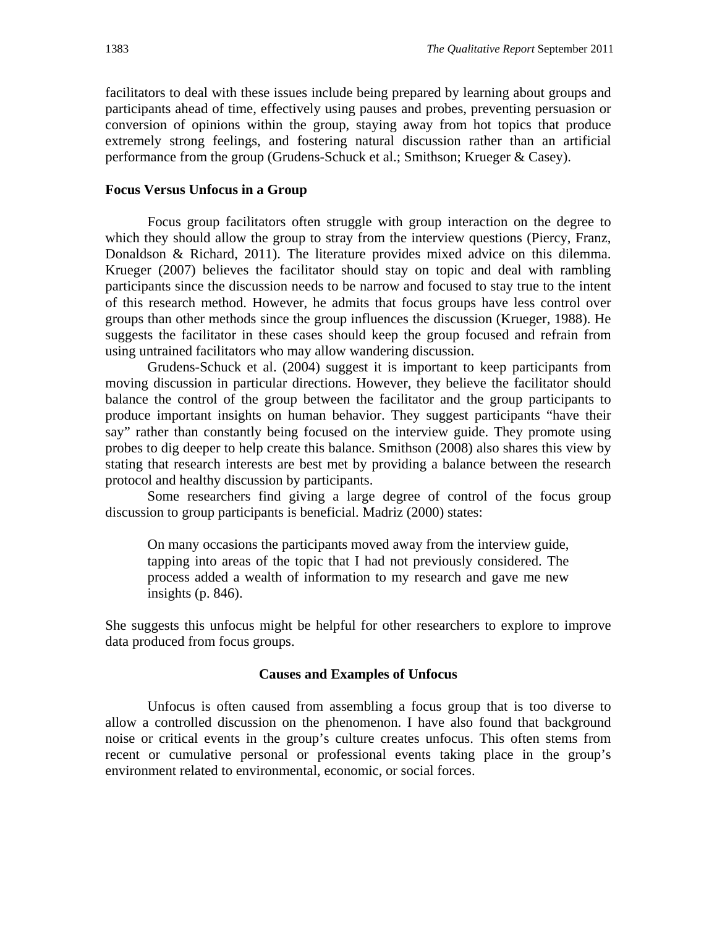facilitators to deal with these issues include being prepared by learning about groups and participants ahead of time, effectively using pauses and probes, preventing persuasion or conversion of opinions within the group, staying away from hot topics that produce extremely strong feelings, and fostering natural discussion rather than an artificial performance from the group (Grudens-Schuck et al.; Smithson; Krueger & Casey).

#### **Focus Versus Unfocus in a Group**

Focus group facilitators often struggle with group interaction on the degree to which they should allow the group to stray from the interview questions (Piercy, Franz, Donaldson & Richard, 2011). The literature provides mixed advice on this dilemma. Krueger (2007) believes the facilitator should stay on topic and deal with rambling participants since the discussion needs to be narrow and focused to stay true to the intent of this research method. However, he admits that focus groups have less control over groups than other methods since the group influences the discussion (Krueger, 1988). He suggests the facilitator in these cases should keep the group focused and refrain from using untrained facilitators who may allow wandering discussion.

 Grudens-Schuck et al. (2004) suggest it is important to keep participants from moving discussion in particular directions. However, they believe the facilitator should balance the control of the group between the facilitator and the group participants to produce important insights on human behavior. They suggest participants "have their say" rather than constantly being focused on the interview guide. They promote using probes to dig deeper to help create this balance. Smithson (2008) also shares this view by stating that research interests are best met by providing a balance between the research protocol and healthy discussion by participants.

 Some researchers find giving a large degree of control of the focus group discussion to group participants is beneficial. Madriz (2000) states:

On many occasions the participants moved away from the interview guide, tapping into areas of the topic that I had not previously considered. The process added a wealth of information to my research and gave me new insights (p. 846).

She suggests this unfocus might be helpful for other researchers to explore to improve data produced from focus groups.

#### **Causes and Examples of Unfocus**

Unfocus is often caused from assembling a focus group that is too diverse to allow a controlled discussion on the phenomenon. I have also found that background noise or critical events in the group's culture creates unfocus. This often stems from recent or cumulative personal or professional events taking place in the group's environment related to environmental, economic, or social forces.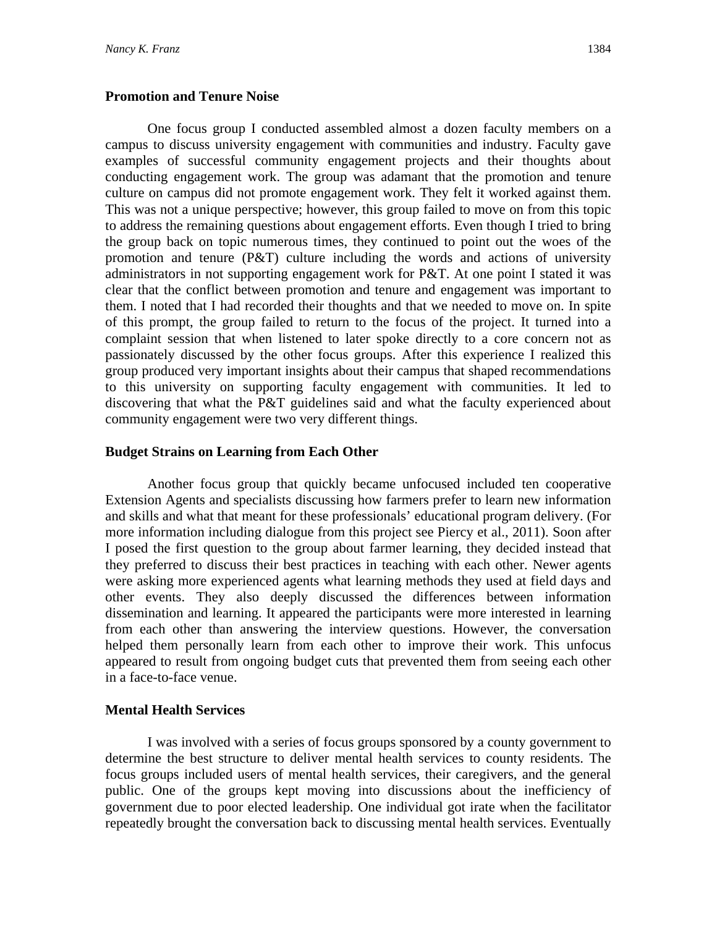One focus group I conducted assembled almost a dozen faculty members on a campus to discuss university engagement with communities and industry. Faculty gave examples of successful community engagement projects and their thoughts about conducting engagement work. The group was adamant that the promotion and tenure culture on campus did not promote engagement work. They felt it worked against them. This was not a unique perspective; however, this group failed to move on from this topic to address the remaining questions about engagement efforts. Even though I tried to bring the group back on topic numerous times, they continued to point out the woes of the promotion and tenure (P&T) culture including the words and actions of university administrators in not supporting engagement work for P&T. At one point I stated it was clear that the conflict between promotion and tenure and engagement was important to them. I noted that I had recorded their thoughts and that we needed to move on. In spite of this prompt, the group failed to return to the focus of the project. It turned into a complaint session that when listened to later spoke directly to a core concern not as passionately discussed by the other focus groups. After this experience I realized this group produced very important insights about their campus that shaped recommendations to this university on supporting faculty engagement with communities. It led to discovering that what the P&T guidelines said and what the faculty experienced about community engagement were two very different things.

## **Budget Strains on Learning from Each Other**

Another focus group that quickly became unfocused included ten cooperative Extension Agents and specialists discussing how farmers prefer to learn new information and skills and what that meant for these professionals' educational program delivery. (For more information including dialogue from this project see Piercy et al., 2011). Soon after I posed the first question to the group about farmer learning, they decided instead that they preferred to discuss their best practices in teaching with each other. Newer agents were asking more experienced agents what learning methods they used at field days and other events. They also deeply discussed the differences between information dissemination and learning. It appeared the participants were more interested in learning from each other than answering the interview questions. However, the conversation helped them personally learn from each other to improve their work. This unfocus appeared to result from ongoing budget cuts that prevented them from seeing each other in a face-to-face venue.

## **Mental Health Services**

I was involved with a series of focus groups sponsored by a county government to determine the best structure to deliver mental health services to county residents. The focus groups included users of mental health services, their caregivers, and the general public. One of the groups kept moving into discussions about the inefficiency of government due to poor elected leadership. One individual got irate when the facilitator repeatedly brought the conversation back to discussing mental health services. Eventually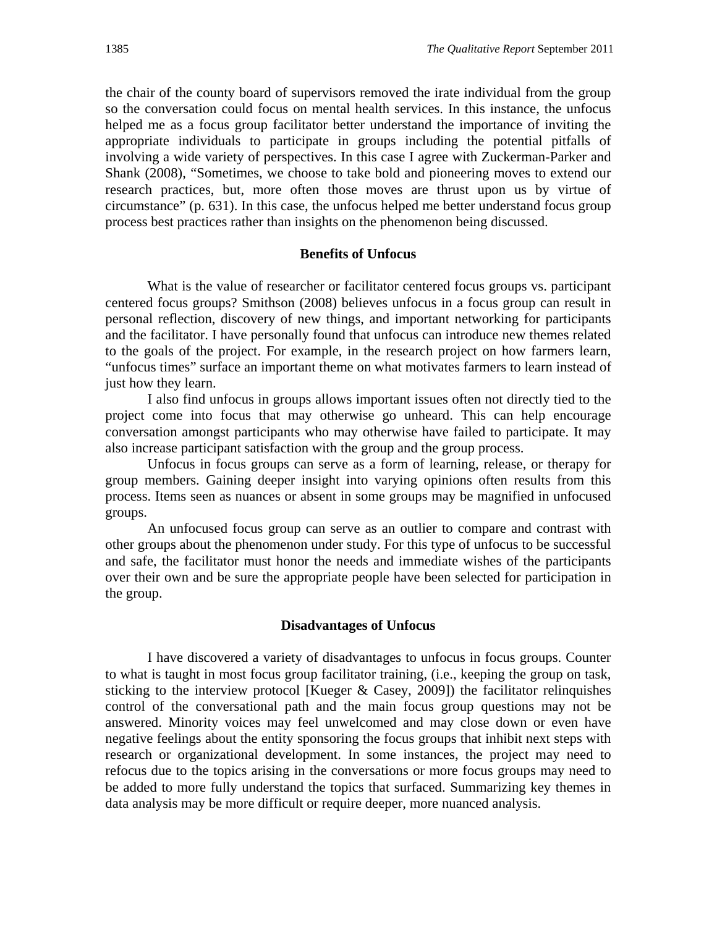the chair of the county board of supervisors removed the irate individual from the group so the conversation could focus on mental health services. In this instance, the unfocus helped me as a focus group facilitator better understand the importance of inviting the appropriate individuals to participate in groups including the potential pitfalls of involving a wide variety of perspectives. In this case I agree with Zuckerman-Parker and Shank (2008), "Sometimes, we choose to take bold and pioneering moves to extend our research practices, but, more often those moves are thrust upon us by virtue of circumstance" (p. 631). In this case, the unfocus helped me better understand focus group process best practices rather than insights on the phenomenon being discussed.

#### **Benefits of Unfocus**

What is the value of researcher or facilitator centered focus groups vs. participant centered focus groups? Smithson (2008) believes unfocus in a focus group can result in personal reflection, discovery of new things, and important networking for participants and the facilitator. I have personally found that unfocus can introduce new themes related to the goals of the project. For example, in the research project on how farmers learn, "unfocus times" surface an important theme on what motivates farmers to learn instead of just how they learn.

I also find unfocus in groups allows important issues often not directly tied to the project come into focus that may otherwise go unheard. This can help encourage conversation amongst participants who may otherwise have failed to participate. It may also increase participant satisfaction with the group and the group process.

 Unfocus in focus groups can serve as a form of learning, release, or therapy for group members. Gaining deeper insight into varying opinions often results from this process. Items seen as nuances or absent in some groups may be magnified in unfocused groups.

An unfocused focus group can serve as an outlier to compare and contrast with other groups about the phenomenon under study. For this type of unfocus to be successful and safe, the facilitator must honor the needs and immediate wishes of the participants over their own and be sure the appropriate people have been selected for participation in the group.

#### **Disadvantages of Unfocus**

I have discovered a variety of disadvantages to unfocus in focus groups. Counter to what is taught in most focus group facilitator training, (i.e., keeping the group on task, sticking to the interview protocol [Kueger & Casey, 2009]) the facilitator relinquishes control of the conversational path and the main focus group questions may not be answered. Minority voices may feel unwelcomed and may close down or even have negative feelings about the entity sponsoring the focus groups that inhibit next steps with research or organizational development. In some instances, the project may need to refocus due to the topics arising in the conversations or more focus groups may need to be added to more fully understand the topics that surfaced. Summarizing key themes in data analysis may be more difficult or require deeper, more nuanced analysis.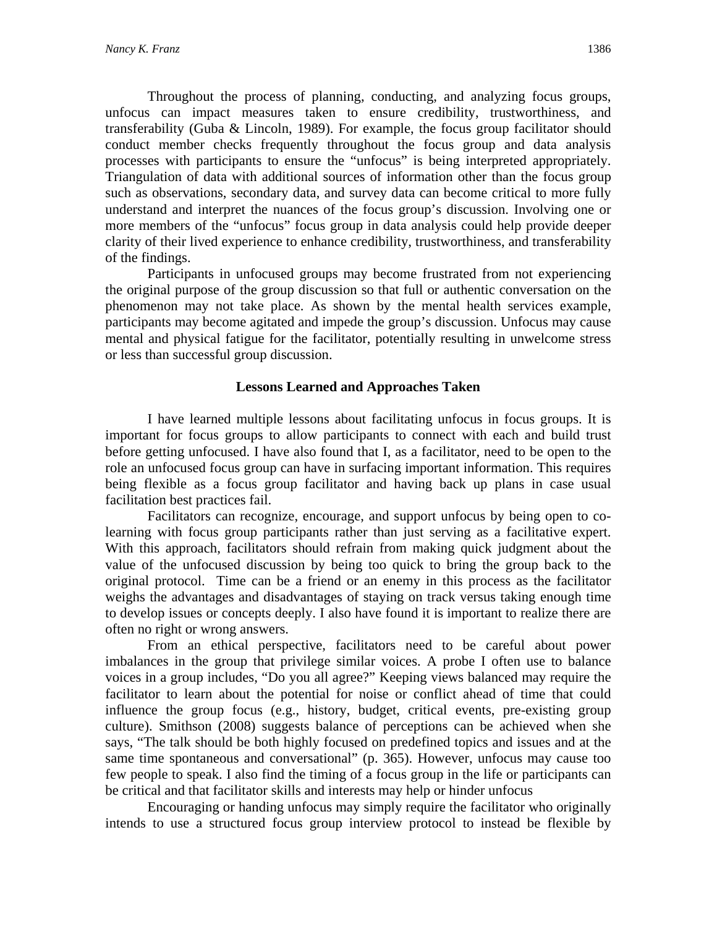Throughout the process of planning, conducting, and analyzing focus groups, unfocus can impact measures taken to ensure credibility, trustworthiness, and transferability (Guba & Lincoln, 1989). For example, the focus group facilitator should conduct member checks frequently throughout the focus group and data analysis processes with participants to ensure the "unfocus" is being interpreted appropriately. Triangulation of data with additional sources of information other than the focus group such as observations, secondary data, and survey data can become critical to more fully understand and interpret the nuances of the focus group's discussion. Involving one or more members of the "unfocus" focus group in data analysis could help provide deeper clarity of their lived experience to enhance credibility, trustworthiness, and transferability of the findings.

Participants in unfocused groups may become frustrated from not experiencing the original purpose of the group discussion so that full or authentic conversation on the phenomenon may not take place. As shown by the mental health services example, participants may become agitated and impede the group's discussion. Unfocus may cause mental and physical fatigue for the facilitator, potentially resulting in unwelcome stress or less than successful group discussion.

#### **Lessons Learned and Approaches Taken**

I have learned multiple lessons about facilitating unfocus in focus groups. It is important for focus groups to allow participants to connect with each and build trust before getting unfocused. I have also found that I, as a facilitator, need to be open to the role an unfocused focus group can have in surfacing important information. This requires being flexible as a focus group facilitator and having back up plans in case usual facilitation best practices fail.

Facilitators can recognize, encourage, and support unfocus by being open to colearning with focus group participants rather than just serving as a facilitative expert. With this approach, facilitators should refrain from making quick judgment about the value of the unfocused discussion by being too quick to bring the group back to the original protocol. Time can be a friend or an enemy in this process as the facilitator weighs the advantages and disadvantages of staying on track versus taking enough time to develop issues or concepts deeply. I also have found it is important to realize there are often no right or wrong answers.

From an ethical perspective, facilitators need to be careful about power imbalances in the group that privilege similar voices. A probe I often use to balance voices in a group includes, "Do you all agree?" Keeping views balanced may require the facilitator to learn about the potential for noise or conflict ahead of time that could influence the group focus (e.g., history, budget, critical events, pre-existing group culture). Smithson (2008) suggests balance of perceptions can be achieved when she says, "The talk should be both highly focused on predefined topics and issues and at the same time spontaneous and conversational" (p. 365). However, unfocus may cause too few people to speak. I also find the timing of a focus group in the life or participants can be critical and that facilitator skills and interests may help or hinder unfocus

Encouraging or handing unfocus may simply require the facilitator who originally intends to use a structured focus group interview protocol to instead be flexible by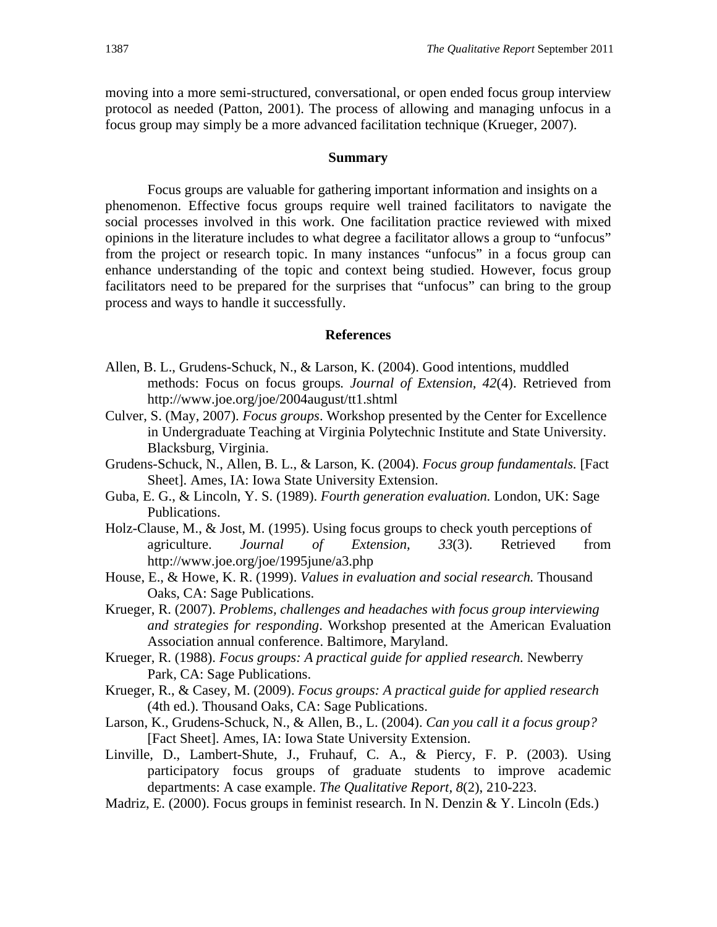moving into a more semi-structured, conversational, or open ended focus group interview protocol as needed (Patton, 2001). The process of allowing and managing unfocus in a focus group may simply be a more advanced facilitation technique (Krueger, 2007).

#### **Summary**

Focus groups are valuable for gathering important information and insights on a phenomenon. Effective focus groups require well trained facilitators to navigate the social processes involved in this work. One facilitation practice reviewed with mixed opinions in the literature includes to what degree a facilitator allows a group to "unfocus" from the project or research topic. In many instances "unfocus" in a focus group can enhance understanding of the topic and context being studied. However, focus group facilitators need to be prepared for the surprises that "unfocus" can bring to the group process and ways to handle it successfully.

#### **References**

- Allen, B. L., Grudens-Schuck, N., & Larson, K. (2004). Good intentions, muddled methods: Focus on focus groups*. Journal of Extension, 42*(4). Retrieved from http://www.joe.org/joe/2004august/tt1.shtml
- Culver, S. (May, 2007). *Focus groups*. Workshop presented by the Center for Excellence in Undergraduate Teaching at Virginia Polytechnic Institute and State University. Blacksburg, Virginia.
- Grudens-Schuck, N., Allen, B. L., & Larson, K. (2004). *Focus group fundamentals.* [Fact Sheet]. Ames, IA: Iowa State University Extension.
- Guba, E. G., & Lincoln, Y. S. (1989). *Fourth generation evaluation.* London, UK: Sage Publications.
- Holz-Clause, M., & Jost, M. (1995). Using focus groups to check youth perceptions of agriculture. *Journal of Extension, 33*(3). Retrieved from http://www.joe.org/joe/1995june/a3.php
- House, E., & Howe, K. R. (1999). *Values in evaluation and social research.* Thousand Oaks, CA: Sage Publications.
- Krueger, R. (2007). *Problems, challenges and headaches with focus group interviewing and strategies for responding*. Workshop presented at the American Evaluation Association annual conference. Baltimore, Maryland.
- Krueger, R. (1988). *Focus groups: A practical guide for applied research.* Newberry Park, CA: Sage Publications.
- Krueger, R., & Casey, M. (2009). *Focus groups: A practical guide for applied research*  (4th ed.). Thousand Oaks, CA: Sage Publications.
- Larson, K., Grudens-Schuck, N., & Allen, B., L. (2004). *Can you call it a focus group?*  [Fact Sheet]. Ames, IA: Iowa State University Extension.
- Linville, D., Lambert-Shute, J., Fruhauf, C. A., & Piercy, F. P. (2003). Using participatory focus groups of graduate students to improve academic departments: A case example. *The Qualitative Report, 8*(2), 210-223.
- Madriz, E. (2000). Focus groups in feminist research. In N. Denzin & Y. Lincoln (Eds.)